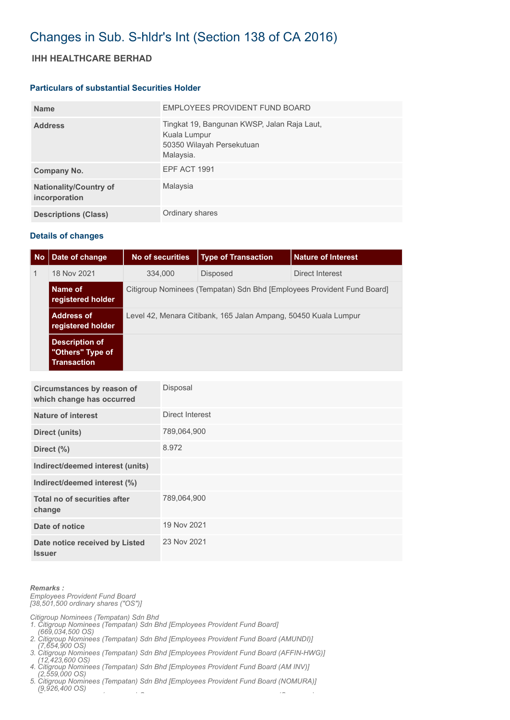# Changes in Sub. S-hldr's Int (Section 138 of CA 2016)

## **IHH HEALTHCARE BERHAD**

#### **Particulars of substantial Securities Holder**

| <b>Name</b>                                    | EMPLOYEES PROVIDENT FUND BOARD                                                                        |
|------------------------------------------------|-------------------------------------------------------------------------------------------------------|
| <b>Address</b>                                 | Tingkat 19, Bangunan KWSP, Jalan Raja Laut,<br>Kuala Lumpur<br>50350 Wilayah Persekutuan<br>Malaysia. |
| Company No.                                    | EPF ACT 1991                                                                                          |
| <b>Nationality/Country of</b><br>incorporation | Malaysia                                                                                              |
| <b>Descriptions (Class)</b>                    | Ordinary shares                                                                                       |

### **Details of changes**

| <b>No</b>    | Date of change                                                  | No of securities                                                       | <b>Type of Transaction</b> | <b>Nature of Interest</b> |  |
|--------------|-----------------------------------------------------------------|------------------------------------------------------------------------|----------------------------|---------------------------|--|
| $\mathbf{1}$ | 18 Nov 2021                                                     | 334,000                                                                | <b>Disposed</b>            | Direct Interest           |  |
|              | Name of<br>registered holder                                    | Citigroup Nominees (Tempatan) Sdn Bhd [Employees Provident Fund Board] |                            |                           |  |
|              | <b>Address of</b><br>registered holder                          | Level 42, Menara Citibank, 165 Jalan Ampang, 50450 Kuala Lumpur        |                            |                           |  |
|              | <b>Description of</b><br>"Others" Type of<br><b>Transaction</b> |                                                                        |                            |                           |  |

| Circumstances by reason of<br>which change has occurred | Disposal        |
|---------------------------------------------------------|-----------------|
| <b>Nature of interest</b>                               | Direct Interest |
| Direct (units)                                          | 789,064,900     |
| Direct $(\%)$                                           | 8.972           |
| Indirect/deemed interest (units)                        |                 |
| Indirect/deemed interest (%)                            |                 |
| Total no of securities after<br>change                  | 789,064,900     |
| Date of notice                                          | 19 Nov 2021     |
| Date notice received by Listed<br><b>Issuer</b>         | 23 Nov 2021     |

#### *Remarks :*

*Employees Provident Fund Board [38,501,500 ordinary shares ("OS")]*

*Citigroup Nominees (Tempatan) Sdn Bhd* 

*1. Citigroup Nominees (Tempatan) Sdn Bhd [Employees Provident Fund Board]* 

- *(669,034,500 OS) 2. Citigroup Nominees (Tempatan) Sdn Bhd [Employees Provident Fund Board (AMUNDI)]*
- *(7,654,900 OS) 3. Citigroup Nominees (Tempatan) Sdn Bhd [Employees Provident Fund Board (AFFIN-HWG)]*
- *(12,423,600 OS) 4. Citigroup Nominees (Tempatan) Sdn Bhd [Employees Provident Fund Board (AM INV)]*

 *(2,559,000 OS) 5. Citigroup Nominees (Tempatan) Sdn Bhd [Employees Provident Fund Board (NOMURA)]* 

 *(9,926,400 OS)*

*C ( ) S (C )*